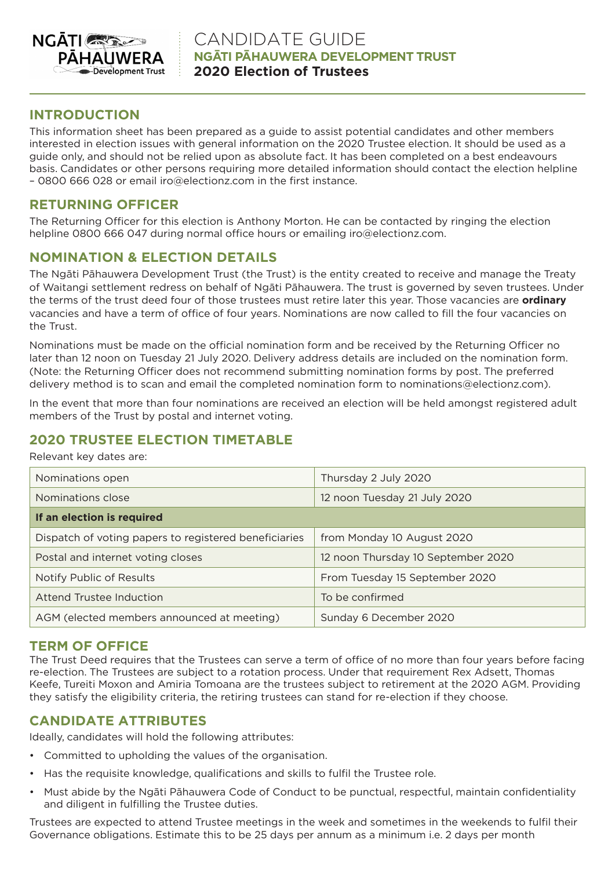

### **INTRODUCTION**

This information sheet has been prepared as a guide to assist potential candidates and other members interested in election issues with general information on the 2020 Trustee election. It should be used as a guide only, and should not be relied upon as absolute fact. It has been completed on a best endeavours basis. Candidates or other persons requiring more detailed information should contact the election helpline – 0800 666 028 or email iro@electionz.com in the first instance.

### **RETURNING OFFICER**

The Returning Officer for this election is Anthony Morton. He can be contacted by ringing the election helpline 0800 666 047 during normal office hours or emailing iro@electionz.com.

# **NOMINATION & ELECTION DETAILS**

The Ngāti Pāhauwera Development Trust (the Trust) is the entity created to receive and manage the Treaty of Waitangi settlement redress on behalf of Ngāti Pāhauwera. The trust is governed by seven trustees. Under the terms of the trust deed four of those trustees must retire later this year. Those vacancies are **ordinary** vacancies and have a term of office of four years. Nominations are now called to fill the four vacancies on the Trust.

Nominations must be made on the official nomination form and be received by the Returning Officer no later than 12 noon on Tuesday 21 July 2020. Delivery address details are included on the nomination form. (Note: the Returning Officer does not recommend submitting nomination forms by post. The preferred delivery method is to scan and email the completed nomination form to nominations@electionz.com).

In the event that more than four nominations are received an election will be held amongst registered adult members of the Trust by postal and internet voting.

# **2020 TRUSTEE ELECTION TIMETABLE**

Relevant key dates are:

| Nominations open                                      | Thursday 2 July 2020               |
|-------------------------------------------------------|------------------------------------|
| Nominations close                                     | 12 noon Tuesday 21 July 2020       |
| If an election is required                            |                                    |
| Dispatch of voting papers to registered beneficiaries | from Monday 10 August 2020         |
| Postal and internet voting closes                     | 12 noon Thursday 10 September 2020 |
| Notify Public of Results                              | From Tuesday 15 September 2020     |
| Attend Trustee Induction                              | To be confirmed                    |
| AGM (elected members announced at meeting)            | Sunday 6 December 2020             |

## **TERM OF OFFICE**

The Trust Deed requires that the Trustees can serve a term of office of no more than four years before facing re-election. The Trustees are subject to a rotation process. Under that requirement Rex Adsett, Thomas Keefe, Tureiti Moxon and Amiria Tomoana are the trustees subject to retirement at the 2020 AGM. Providing they satisfy the eligibility criteria, the retiring trustees can stand for re-election if they choose.

## **CANDIDATE ATTRIBUTES**

Ideally, candidates will hold the following attributes:

- Committed to upholding the values of the organisation.
- Has the requisite knowledge, qualifications and skills to fulfil the Trustee role.
- Must abide by the Ngāti Pāhauwera Code of Conduct to be punctual, respectful, maintain confidentiality and diligent in fulfilling the Trustee duties.

Trustees are expected to attend Trustee meetings in the week and sometimes in the weekends to fulfil their Governance obligations. Estimate this to be 25 days per annum as a minimum i.e. 2 days per month